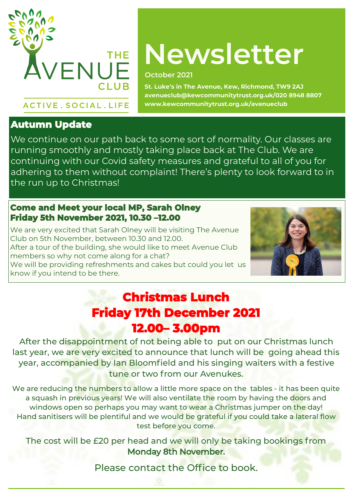

# **Newsletter**

#### **October 2021**

**St. Luke's in The Avenue, Kew, Richmond, TW9 2AJ avenueclub@kewcommunitytrust.org.uk/020 8948 8807 www.kewcommunitytrust.org.uk/avenueclub**

## **Autumn Update**

**ACTIVE. SOCIAL. LIFE** 

We continue on our path back to some sort of normality. Our classes are running smoothly and mostly taking place back at The Club. We are continuing with our Covid safety measures and grateful to all of you for adhering to them without complaint! There's plenty to look forward to in the run up to Christmas!

#### **Come and Meet your local MP, Sarah Olney Friday 5th November 2021, 10.30 –12.00**

We are very excited that Sarah Olney will be visiting The Avenue Club on 5th November, between 10.30 and 12.00. After a tour of the building, she would like to meet Avenue Club members so why not come along for a chat? We will be providing refreshments and cakes but could you let us know if you intend to be there.



### **Christmas Lunch Friday 17th December 2021 12.00– 3.00pm**

After the disappointment of not being able to put on our Christmas lunch last year, we are very excited to announce that lunch will be going ahead this year, accompanied by Ian Bloomfield and his singing waiters with a festive tune or two from our Avenukes.

We are reducing the numbers to allow a little more space on the tables - it has been quite a squash in previous years! We will also ventilate the room by having the doors and windows open so perhaps you may want to wear a Christmas jumper on the day! Hand sanitisers will be plentiful and we would be grateful if you could take a lateral flow test before you come.

The cost will be £20 per head and we will only be taking bookings from Monday 8th November.

Please contact the Office to book.